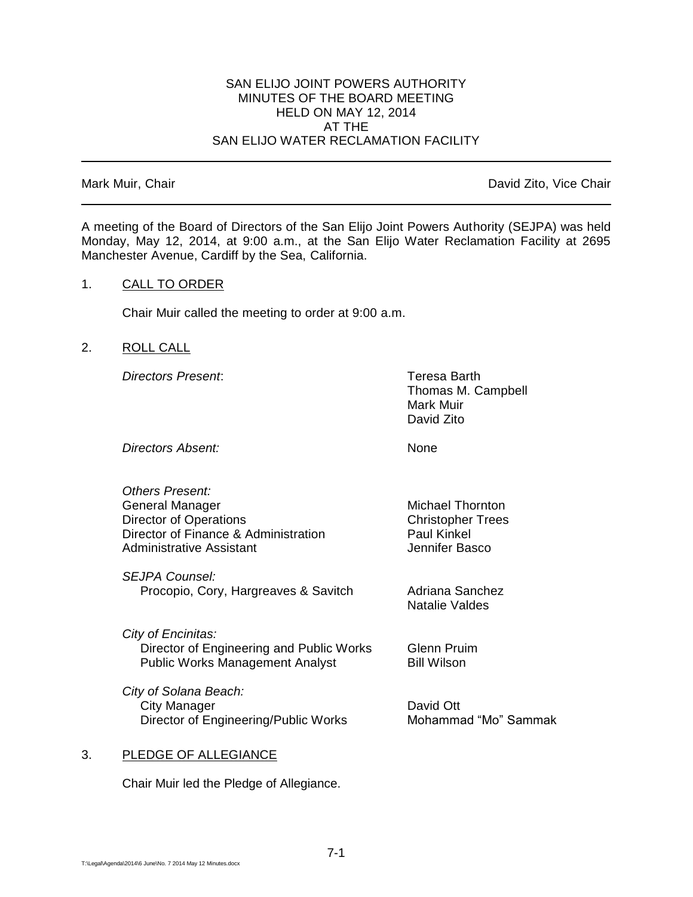#### SAN ELIJO JOINT POWERS AUTHORITY MINUTES OF THE BOARD MEETING HELD ON MAY 12, 2014 AT THE SAN ELIJO WATER RECLAMATION FACILITY

Mark Muir, Chair **David Zito, Vice Chair** David Zito, Vice Chair

A meeting of the Board of Directors of the San Elijo Joint Powers Authority (SEJPA) was held Monday, May 12, 2014, at 9:00 a.m., at the San Elijo Water Reclamation Facility at 2695 Manchester Avenue, Cardiff by the Sea, California.

#### 1. CALL TO ORDER

Chair Muir called the meeting to order at 9:00 a.m.

#### 2. ROLL CALL

*Directors Present*: Teresa Barth

Thomas M. Campbell Mark Muir David Zito

*Directors Absent:* None

*Others Present:* General Manager Michael Thornton Director of Operations **Christopher Trees** Director of Finance & Administration Paul Kinkel Administrative Assistant **Administrative Assistant** 

*SEJPA Counsel:* Procopio, Cory, Hargreaves & Savitch Adriana Sanchez

*City of Encinitas:* Director of Engineering and Public Works Glenn Pruim Public Works Management Analyst Bill Wilson

*City of Solana Beach:* City Manager **David Ott** Director of Engineering/Public Works Mohammad "Mo" Sammak

Natalie Valdes

#### 3. PLEDGE OF ALLEGIANCE

Chair Muir led the Pledge of Allegiance.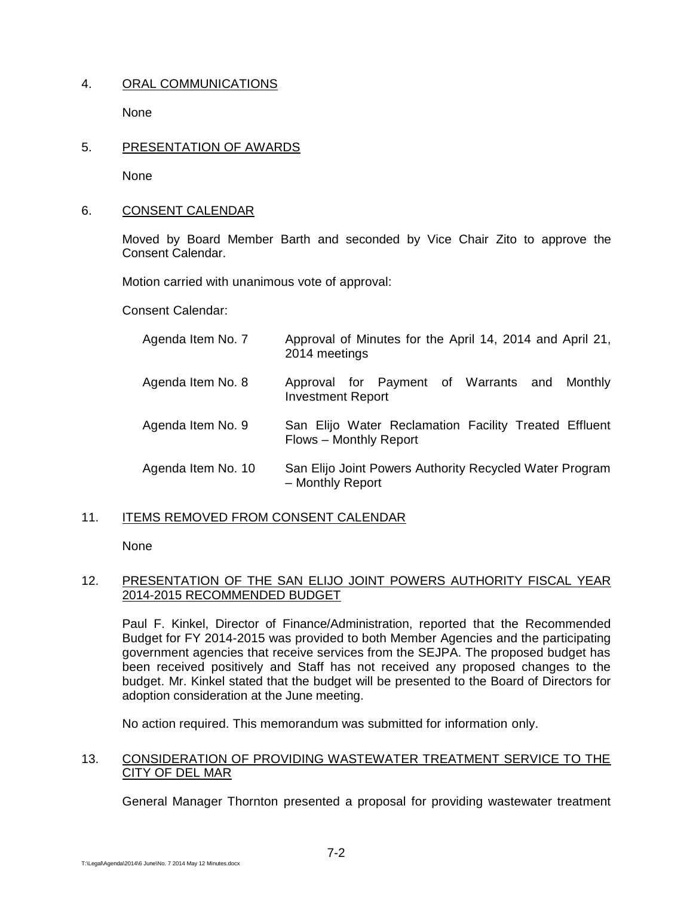## 4. ORAL COMMUNICATIONS

None

## 5. PRESENTATION OF AWARDS

None

## 6. CONSENT CALENDAR

Moved by Board Member Barth and seconded by Vice Chair Zito to approve the Consent Calendar.

Motion carried with unanimous vote of approval:

Consent Calendar:

| Agenda Item No. 7  | Approval of Minutes for the April 14, 2014 and April 21,<br>2014 meetings       |
|--------------------|---------------------------------------------------------------------------------|
| Agenda Item No. 8  | Approval for Payment of Warrants and Monthly<br><b>Investment Report</b>        |
| Agenda Item No. 9  | San Elijo Water Reclamation Facility Treated Effluent<br>Flows - Monthly Report |
| Agenda Item No. 10 | San Elijo Joint Powers Authority Recycled Water Program<br>- Monthly Report     |

## 11. ITEMS REMOVED FROM CONSENT CALENDAR

None

### 12. PRESENTATION OF THE SAN ELIJO JOINT POWERS AUTHORITY FISCAL YEAR 2014-2015 RECOMMENDED BUDGET

Paul F. Kinkel, Director of Finance/Administration, reported that the Recommended Budget for FY 2014-2015 was provided to both Member Agencies and the participating government agencies that receive services from the SEJPA. The proposed budget has been received positively and Staff has not received any proposed changes to the budget. Mr. Kinkel stated that the budget will be presented to the Board of Directors for adoption consideration at the June meeting.

No action required. This memorandum was submitted for information only.

## 13. CONSIDERATION OF PROVIDING WASTEWATER TREATMENT SERVICE TO THE CITY OF DEL MAR

General Manager Thornton presented a proposal for providing wastewater treatment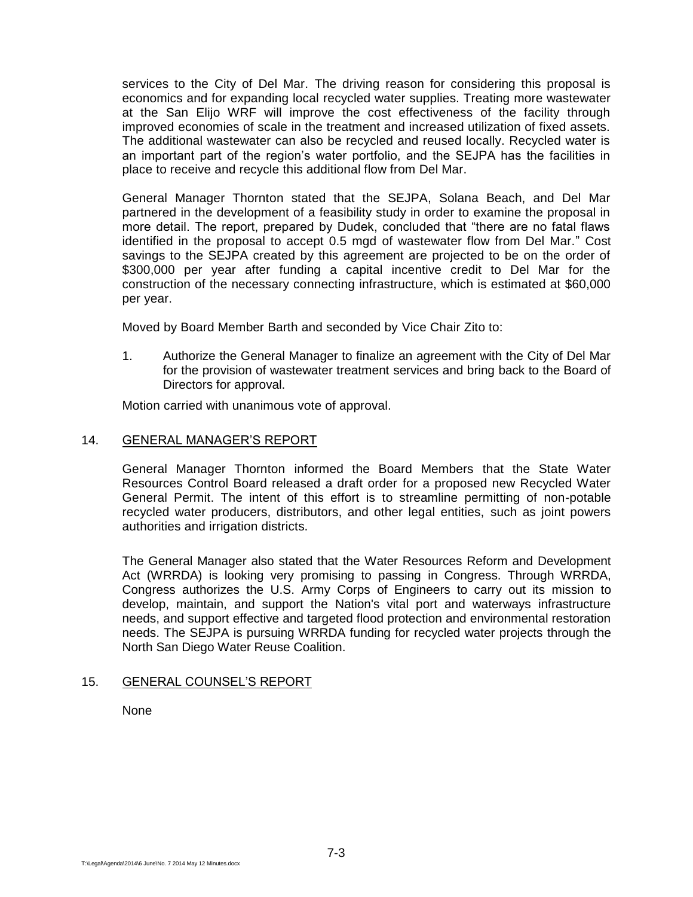services to the City of Del Mar. The driving reason for considering this proposal is economics and for expanding local recycled water supplies. Treating more wastewater at the San Elijo WRF will improve the cost effectiveness of the facility through improved economies of scale in the treatment and increased utilization of fixed assets. The additional wastewater can also be recycled and reused locally. Recycled water is an important part of the region's water portfolio, and the SEJPA has the facilities in place to receive and recycle this additional flow from Del Mar.

General Manager Thornton stated that the SEJPA, Solana Beach, and Del Mar partnered in the development of a feasibility study in order to examine the proposal in more detail. The report, prepared by Dudek, concluded that "there are no fatal flaws identified in the proposal to accept 0.5 mgd of wastewater flow from Del Mar." Cost savings to the SEJPA created by this agreement are projected to be on the order of \$300,000 per year after funding a capital incentive credit to Del Mar for the construction of the necessary connecting infrastructure, which is estimated at \$60,000 per year.

Moved by Board Member Barth and seconded by Vice Chair Zito to:

1. Authorize the General Manager to finalize an agreement with the City of Del Mar for the provision of wastewater treatment services and bring back to the Board of Directors for approval.

Motion carried with unanimous vote of approval.

### 14. GENERAL MANAGER'S REPORT

General Manager Thornton informed the Board Members that the State Water Resources Control Board released a draft order for a proposed new Recycled Water General Permit. The intent of this effort is to streamline permitting of non-potable recycled water producers, distributors, and other legal entities, such as joint powers authorities and irrigation districts.

The General Manager also stated that the Water Resources Reform and Development Act (WRRDA) is looking very promising to passing in Congress. Through WRRDA, Congress authorizes the U.S. Army Corps of Engineers to carry out its mission to develop, maintain, and support the Nation's vital port and waterways infrastructure needs, and support effective and targeted flood protection and environmental restoration needs. The SEJPA is pursuing WRRDA funding for recycled water projects through the North San Diego Water Reuse Coalition.

## 15. GENERAL COUNSEL'S REPORT

None